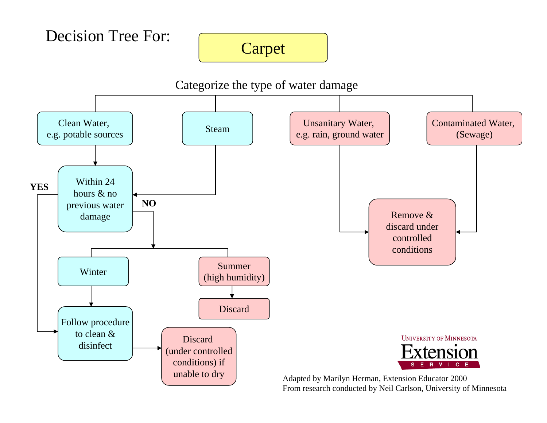Decision Tree For:

# Carpet

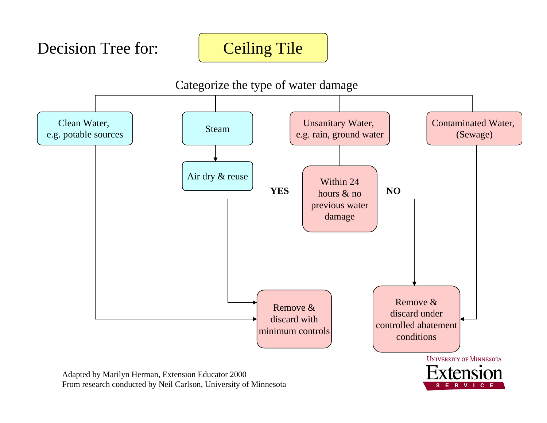Decision Tree for:

## Ceiling Tile

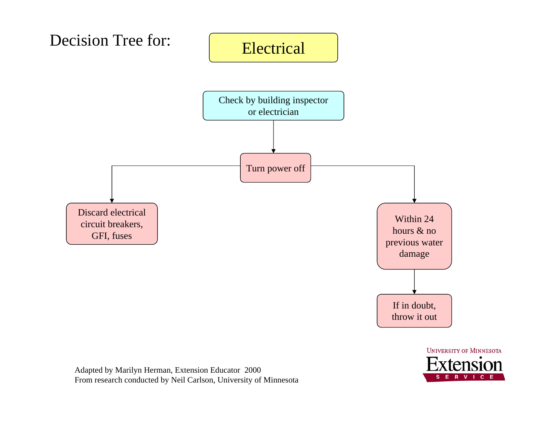



Adapted by Marilyn Herman, Extension Educator 2000 From research conducted by Neil Carlson, University of Minnesota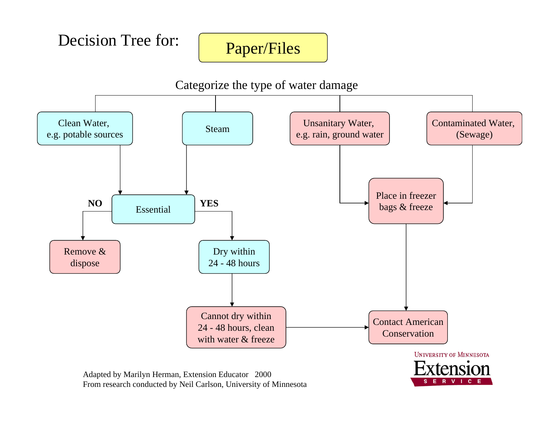Decision Tree for:

### Paper/Files

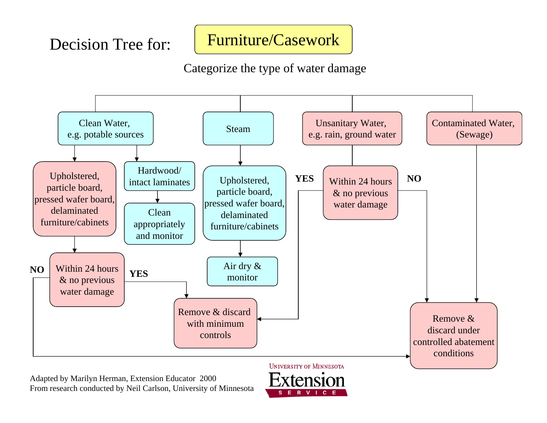### Furniture/Casework

Categorize the type of water damage



Adapted by Marilyn Herman, Extension Educator 2000 From research conducted by Neil Carlson, University of Minnesota